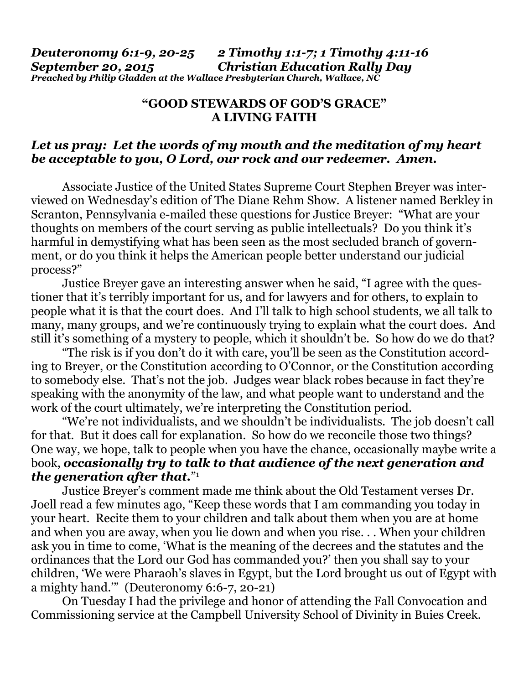## *Deuteronomy 6:1-9, 20-25 2 Timothy 1:1-7; 1 Timothy 4:11-16 September 20, 2015 Christian Education Rally Day Preached by Philip Gladden at the Wallace Presbyterian Church, Wallace, NC*

## **"GOOD STEWARDS OF GOD'S GRACE" A LIVING FAITH**

## *Let us pray: Let the words of my mouth and the meditation of my heart be acceptable to you, O Lord, our rock and our redeemer. Amen.*

Associate Justice of the United States Supreme Court Stephen Breyer was interviewed on Wednesday's edition of The Diane Rehm Show. A listener named Berkley in Scranton, Pennsylvania e-mailed these questions for Justice Breyer: "What are your thoughts on members of the court serving as public intellectuals? Do you think it's harmful in demystifying what has been seen as the most secluded branch of government, or do you think it helps the American people better understand our judicial process?"

 Justice Breyer gave an interesting answer when he said, "I agree with the questioner that it's terribly important for us, and for lawyers and for others, to explain to people what it is that the court does. And I'll talk to high school students, we all talk to many, many groups, and we're continuously trying to explain what the court does. And still it's something of a mystery to people, which it shouldn't be. So how do we do that?

 "The risk is if you don't do it with care, you'll be seen as the Constitution according to Breyer, or the Constitution according to O'Connor, or the Constitution according to somebody else. That's not the job. Judges wear black robes because in fact they're speaking with the anonymity of the law, and what people want to understand and the work of the court ultimately, we're interpreting the Constitution period.

 "We're not individualists, and we shouldn't be individualists. The job doesn't call for that. But it does call for explanation. So how do we reconcile those two things? One way, we hope, talk to people when you have the chance, occasionally maybe write a book, *occasionally try to talk to that audience of the next generation and the generation after that.*"1

 Justice Breyer's comment made me think about the Old Testament verses Dr. Joell read a few minutes ago, "Keep these words that I am commanding you today in your heart. Recite them to your children and talk about them when you are at home and when you are away, when you lie down and when you rise. . . When your children ask you in time to come, 'What is the meaning of the decrees and the statutes and the ordinances that the Lord our God has commanded you?' then you shall say to your children, 'We were Pharaoh's slaves in Egypt, but the Lord brought us out of Egypt with a mighty hand.'" (Deuteronomy 6:6-7, 20-21)

 On Tuesday I had the privilege and honor of attending the Fall Convocation and Commissioning service at the Campbell University School of Divinity in Buies Creek.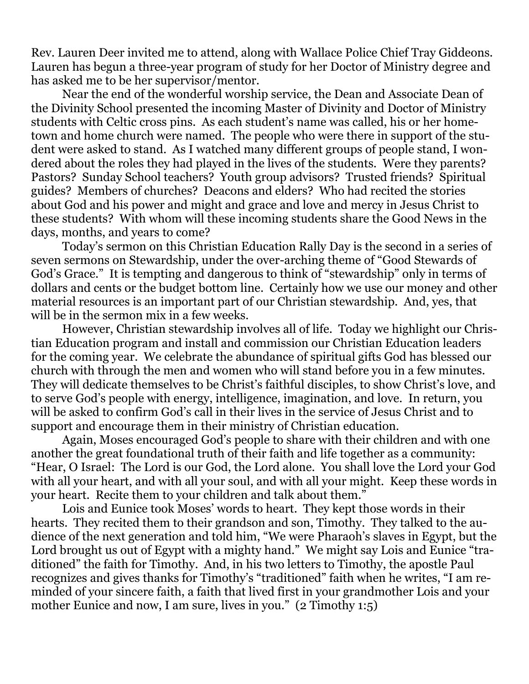Rev. Lauren Deer invited me to attend, along with Wallace Police Chief Tray Giddeons. Lauren has begun a three-year program of study for her Doctor of Ministry degree and has asked me to be her supervisor/mentor.

 Near the end of the wonderful worship service, the Dean and Associate Dean of the Divinity School presented the incoming Master of Divinity and Doctor of Ministry students with Celtic cross pins. As each student's name was called, his or her hometown and home church were named. The people who were there in support of the student were asked to stand. As I watched many different groups of people stand, I wondered about the roles they had played in the lives of the students. Were they parents? Pastors? Sunday School teachers? Youth group advisors? Trusted friends? Spiritual guides? Members of churches? Deacons and elders? Who had recited the stories about God and his power and might and grace and love and mercy in Jesus Christ to these students? With whom will these incoming students share the Good News in the days, months, and years to come?

 Today's sermon on this Christian Education Rally Day is the second in a series of seven sermons on Stewardship, under the over-arching theme of "Good Stewards of God's Grace." It is tempting and dangerous to think of "stewardship" only in terms of dollars and cents or the budget bottom line. Certainly how we use our money and other material resources is an important part of our Christian stewardship. And, yes, that will be in the sermon mix in a few weeks.

 However, Christian stewardship involves all of life. Today we highlight our Christian Education program and install and commission our Christian Education leaders for the coming year. We celebrate the abundance of spiritual gifts God has blessed our church with through the men and women who will stand before you in a few minutes. They will dedicate themselves to be Christ's faithful disciples, to show Christ's love, and to serve God's people with energy, intelligence, imagination, and love. In return, you will be asked to confirm God's call in their lives in the service of Jesus Christ and to support and encourage them in their ministry of Christian education.

 Again, Moses encouraged God's people to share with their children and with one another the great foundational truth of their faith and life together as a community: "Hear, O Israel: The Lord is our God, the Lord alone. You shall love the Lord your God with all your heart, and with all your soul, and with all your might. Keep these words in your heart. Recite them to your children and talk about them."

 Lois and Eunice took Moses' words to heart. They kept those words in their hearts. They recited them to their grandson and son, Timothy. They talked to the audience of the next generation and told him, "We were Pharaoh's slaves in Egypt, but the Lord brought us out of Egypt with a mighty hand." We might say Lois and Eunice "traditioned" the faith for Timothy. And, in his two letters to Timothy, the apostle Paul recognizes and gives thanks for Timothy's "traditioned" faith when he writes, "I am reminded of your sincere faith, a faith that lived first in your grandmother Lois and your mother Eunice and now, I am sure, lives in you." (2 Timothy 1:5)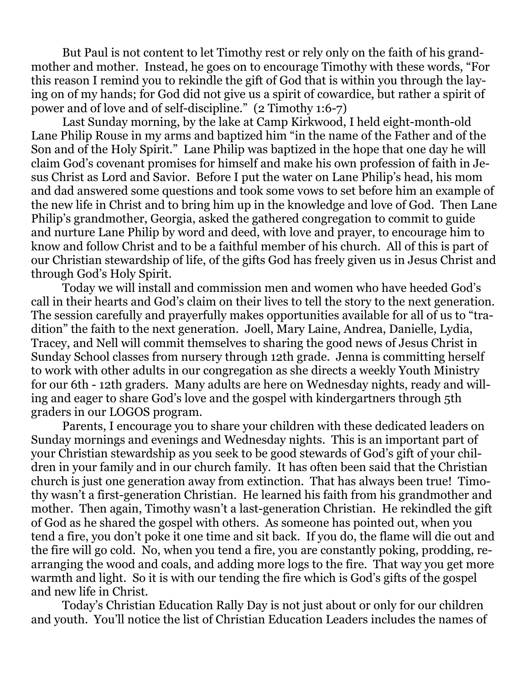But Paul is not content to let Timothy rest or rely only on the faith of his grandmother and mother. Instead, he goes on to encourage Timothy with these words, "For this reason I remind you to rekindle the gift of God that is within you through the laying on of my hands; for God did not give us a spirit of cowardice, but rather a spirit of power and of love and of self-discipline." (2 Timothy 1:6-7)

 Last Sunday morning, by the lake at Camp Kirkwood, I held eight-month-old Lane Philip Rouse in my arms and baptized him "in the name of the Father and of the Son and of the Holy Spirit." Lane Philip was baptized in the hope that one day he will claim God's covenant promises for himself and make his own profession of faith in Jesus Christ as Lord and Savior. Before I put the water on Lane Philip's head, his mom and dad answered some questions and took some vows to set before him an example of the new life in Christ and to bring him up in the knowledge and love of God. Then Lane Philip's grandmother, Georgia, asked the gathered congregation to commit to guide and nurture Lane Philip by word and deed, with love and prayer, to encourage him to know and follow Christ and to be a faithful member of his church. All of this is part of our Christian stewardship of life, of the gifts God has freely given us in Jesus Christ and through God's Holy Spirit.

 Today we will install and commission men and women who have heeded God's call in their hearts and God's claim on their lives to tell the story to the next generation. The session carefully and prayerfully makes opportunities available for all of us to "tradition" the faith to the next generation. Joell, Mary Laine, Andrea, Danielle, Lydia, Tracey, and Nell will commit themselves to sharing the good news of Jesus Christ in Sunday School classes from nursery through 12th grade. Jenna is committing herself to work with other adults in our congregation as she directs a weekly Youth Ministry for our 6th - 12th graders. Many adults are here on Wednesday nights, ready and willing and eager to share God's love and the gospel with kindergartners through 5th graders in our LOGOS program.

 Parents, I encourage you to share your children with these dedicated leaders on Sunday mornings and evenings and Wednesday nights. This is an important part of your Christian stewardship as you seek to be good stewards of God's gift of your children in your family and in our church family. It has often been said that the Christian church is just one generation away from extinction. That has always been true! Timothy wasn't a first-generation Christian. He learned his faith from his grandmother and mother. Then again, Timothy wasn't a last-generation Christian. He rekindled the gift of God as he shared the gospel with others. As someone has pointed out, when you tend a fire, you don't poke it one time and sit back. If you do, the flame will die out and the fire will go cold. No, when you tend a fire, you are constantly poking, prodding, rearranging the wood and coals, and adding more logs to the fire. That way you get more warmth and light. So it is with our tending the fire which is God's gifts of the gospel and new life in Christ.

 Today's Christian Education Rally Day is not just about or only for our children and youth. You'll notice the list of Christian Education Leaders includes the names of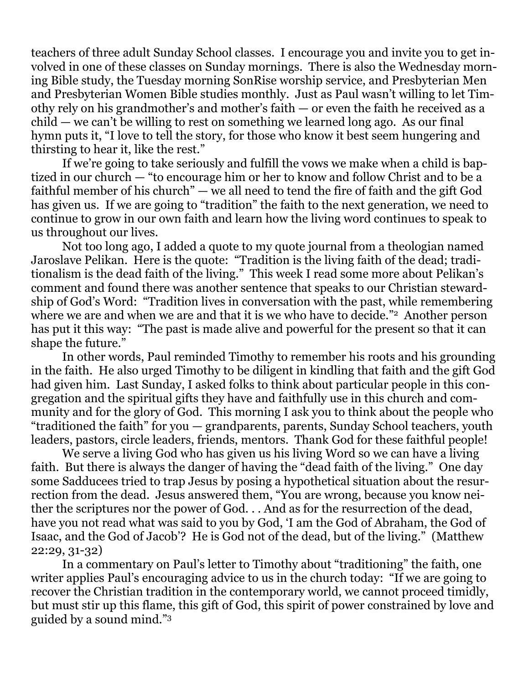teachers of three adult Sunday School classes. I encourage you and invite you to get involved in one of these classes on Sunday mornings. There is also the Wednesday morning Bible study, the Tuesday morning SonRise worship service, and Presbyterian Men and Presbyterian Women Bible studies monthly. Just as Paul wasn't willing to let Timothy rely on his grandmother's and mother's faith — or even the faith he received as a child — we can't be willing to rest on something we learned long ago. As our final hymn puts it, "I love to tell the story, for those who know it best seem hungering and thirsting to hear it, like the rest."

 If we're going to take seriously and fulfill the vows we make when a child is baptized in our church — "to encourage him or her to know and follow Christ and to be a faithful member of his church" — we all need to tend the fire of faith and the gift God has given us. If we are going to "tradition" the faith to the next generation, we need to continue to grow in our own faith and learn how the living word continues to speak to us throughout our lives.

 Not too long ago, I added a quote to my quote journal from a theologian named Jaroslave Pelikan. Here is the quote: "Tradition is the living faith of the dead; traditionalism is the dead faith of the living." This week I read some more about Pelikan's comment and found there was another sentence that speaks to our Christian stewardship of God's Word: "Tradition lives in conversation with the past, while remembering where we are and when we are and that it is we who have to decide."<sup>2</sup> Another person has put it this way: "The past is made alive and powerful for the present so that it can shape the future."

 In other words, Paul reminded Timothy to remember his roots and his grounding in the faith. He also urged Timothy to be diligent in kindling that faith and the gift God had given him. Last Sunday, I asked folks to think about particular people in this congregation and the spiritual gifts they have and faithfully use in this church and community and for the glory of God. This morning I ask you to think about the people who "traditioned the faith" for you — grandparents, parents, Sunday School teachers, youth leaders, pastors, circle leaders, friends, mentors. Thank God for these faithful people!

 We serve a living God who has given us his living Word so we can have a living faith. But there is always the danger of having the "dead faith of the living." One day some Sadducees tried to trap Jesus by posing a hypothetical situation about the resurrection from the dead. Jesus answered them, "You are wrong, because you know neither the scriptures nor the power of God. . . And as for the resurrection of the dead, have you not read what was said to you by God, 'I am the God of Abraham, the God of Isaac, and the God of Jacob'? He is God not of the dead, but of the living." (Matthew 22:29, 31-32)

 In a commentary on Paul's letter to Timothy about "traditioning" the faith, one writer applies Paul's encouraging advice to us in the church today: "If we are going to recover the Christian tradition in the contemporary world, we cannot proceed timidly, but must stir up this flame, this gift of God, this spirit of power constrained by love and guided by a sound mind."3